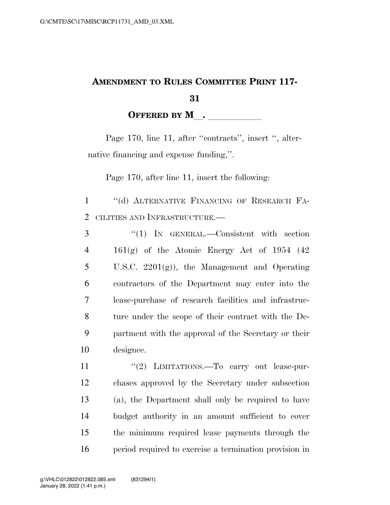## **AMENDMENT TO RULES COMMITTEE PRINT 117- 31**

**OFFERED BY M**.

Page 170, line 11, after "contracts", insert ", alternative financing and expense funding,''.

Page 170, after line 11, insert the following:

1 ''(d) ALTERNATIVE FINANCING OF RESEARCH FA-2 CILITIES AND INFRASTRUCTURE.—

 ''(1) IN GENERAL.—Consistent with section  $4 \quad 161(g)$  of the Atomic Energy Act of 1954 (42) U.S.C. 2201(g)), the Management and Operating contractors of the Department may enter into the lease-purchase of research facilities and infrastruc- ture under the scope of their contract with the De- partment with the approval of the Secretary or their designee.

11 "(2) LIMITATIONS.—To carry out lease-pur- chases approved by the Secretary under subsection (a), the Department shall only be required to have budget authority in an amount sufficient to cover the minimum required lease payments through the period required to exercise a termination provision in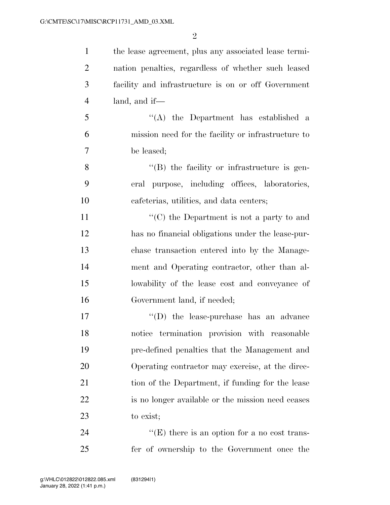the lease agreement, plus any associated lease termi- nation penalties, regardless of whether such leased facility and infrastructure is on or off Government land, and if—

 ''(A) the Department has established a mission need for the facility or infrastructure to be leased;

 ''(B) the facility or infrastructure is gen- eral purpose, including offices, laboratories, cafeterias, utilities, and data centers;

11 ''(C) the Department is not a party to and has no financial obligations under the lease-pur- chase transaction entered into by the Manage- ment and Operating contractor, other than al- lowability of the lease cost and conveyance of Government land, if needed;

 $\langle \text{`}(D) \rangle$  the lease-purchase has an advance notice termination provision with reasonable pre-defined penalties that the Management and Operating contractor may exercise, at the direc-21 tion of the Department, if funding for the lease is no longer available or the mission need ceases to exist;

24  $"({\rm E})$  there is an option for a no cost trans-fer of ownership to the Government once the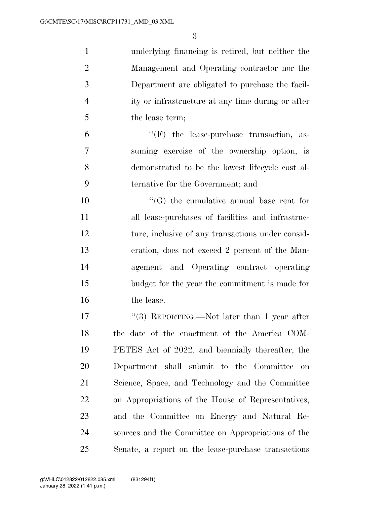| $\mathbf{1}$   | underlying financing is retired, but neither the    |
|----------------|-----------------------------------------------------|
| $\overline{2}$ | Management and Operating contractor nor the         |
| 3              | Department are obligated to purchase the facil-     |
| $\overline{4}$ | ity or infrastructure at any time during or after   |
| 5              | the lease term;                                     |
| 6              | $\lq\lq(F)$ the lease-purchase transaction, as-     |
| 7              | suming exercise of the ownership option, is         |
| 8              | demonstrated to be the lowest lifecycle cost al-    |
| 9              | ternative for the Government; and                   |
| 10             | $\lq\lq(G)$ the cumulative annual base rent for     |
| 11             | all lease-purchases of facilities and infrastruc-   |
| 12             | ture, inclusive of any transactions under consid-   |
| 13             | eration, does not exceed 2 percent of the Man-      |
| 14             | agement and Operating contract operating            |
| 15             | budget for the year the commitment is made for      |
| 16             | the lease.                                          |
| 17             | "(3) REPORTING.—Not later than 1 year after         |
| 18             | the date of the enactment of the America COM-       |
| 19             | PETES Act of 2022, and biennially thereafter, the   |
| 20             | Department shall submit to the Committee<br>on      |
| 21             | Science, Space, and Technology and the Committee    |
| 22             | on Appropriations of the House of Representatives,  |
| 23             | and the Committee on Energy and Natural Re-         |
| 24             | sources and the Committee on Appropriations of the  |
| 25             | Senate, a report on the lease-purchase transactions |